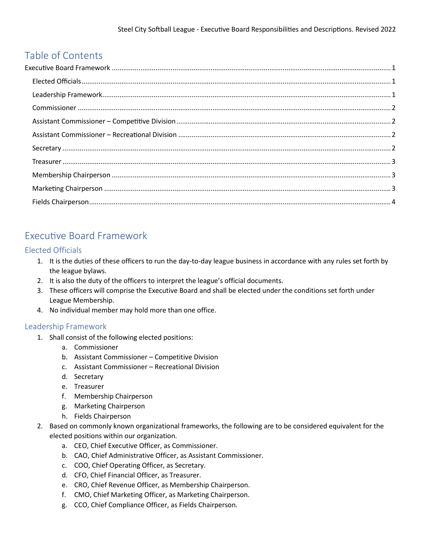# Table of Contents

# <span id="page-0-0"></span>Executive Board Framework

## <span id="page-0-1"></span>Elected Officials

- 1. It is the duties of these officers to run the day-to-day league business in accordance with any rules set forth by the league bylaws.
- 2. It is also the duty of the officers to interpret the league's official documents.
- 3. These officers will comprise the Executive Board and shall be elected under the conditions set forth under League Membership.
- 4. No individual member may hold more than one office.

## <span id="page-0-2"></span>Leadership Framework

- 1. Shall consist of the following elected positions:
	- a. Commissioner
	- b. Assistant Commissioner Competitive Division
	- c. Assistant Commissioner Recreational Division
	- d. Secretary
	- e. Treasurer
	- f. Membership Chairperson
	- g. Marketing Chairperson
	- h. Fields Chairperson
- 2. Based on commonly known organizational frameworks, the following are to be considered equivalent for the elected positions within our organization.
	- a. CEO, Chief Executive Officer, as Commissioner.
	- b. CAO, Chief Administrative Officer, as Assistant Commissioner.
	- c. COO, Chief Operating Officer, as Secretary.
	- d. CFO, Chief Financial Officer, as Treasurer.
	- e. CRO, Chief Revenue Officer, as Membership Chairperson.
	- f. CMO, Chief Marketing Officer, as Marketing Chairperson.
	- g. CCO, Chief Compliance Officer, as Fields Chairperson.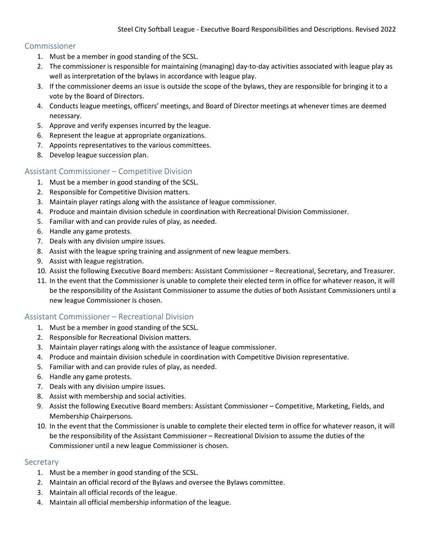### <span id="page-1-0"></span>Commissioner

- 1. Must be a member in good standing of the SCSL.
- 2. The commissioner is responsible for maintaining (managing) day-to-day activities associated with league play as well as interpretation of the bylaws in accordance with league play.
- 3. If the commissioner deems an issue is outside the scope of the bylaws, they are responsible for bringing it to a vote by the Board of Directors.
- 4. Conducts league meetings, officers' meetings, and Board of Director meetings at whenever times are deemed necessary.
- 5. Approve and verify expenses incurred by the league.
- 6. Represent the league at appropriate organizations.
- 7. Appoints representatives to the various committees.
- 8. Develop league succession plan.

## <span id="page-1-1"></span>Assistant Commissioner – Competitive Division

- 1. Must be a member in good standing of the SCSL.
- 2. Responsible for Competitive Division matters.
- 3. Maintain player ratings along with the assistance of league commissioner.
- 4. Produce and maintain division schedule in coordination with Recreational Division Commissioner.
- 5. Familiar with and can provide rules of play, as needed.
- 6. Handle any game protests.
- 7. Deals with any division umpire issues.
- 8. Assist with the league spring training and assignment of new league members.
- 9. Assist with league registration.
- 10. Assist the following Executive Board members: Assistant Commissioner Recreational, Secretary, and Treasurer.
- 11. In the event that the Commissioner is unable to complete their elected term in office for whatever reason, it will be the responsibility of the Assistant Commissioner to assume the duties of both Assistant Commissioners until a new league Commissioner is chosen.

#### <span id="page-1-2"></span>Assistant Commissioner – Recreational Division

- 1. Must be a member in good standing of the SCSL.
- 2. Responsible for Recreational Division matters.
- 3. Maintain player ratings along with the assistance of league commissioner.
- 4. Produce and maintain division schedule in coordination with Competitive Division representative.
- 5. Familiar with and can provide rules of play, as needed.
- 6. Handle any game protests.
- 7. Deals with any division umpire issues.
- 8. Assist with membership and social activities.
- 9. Assist the following Executive Board members: Assistant Commissioner Competitive, Marketing, Fields, and Membership Chairpersons.
- 10. In the event that the Commissioner is unable to complete their elected term in office for whatever reason, it will be the responsibility of the Assistant Commissioner – Recreational Division to assume the duties of the Commissioner until a new league Commissioner is chosen.

#### <span id="page-1-3"></span>**Secretary**

- 1. Must be a member in good standing of the SCSL.
- 2. Maintain an official record of the Bylaws and oversee the Bylaws committee.
- 3. Maintain all official records of the league.
- 4. Maintain all official membership information of the league.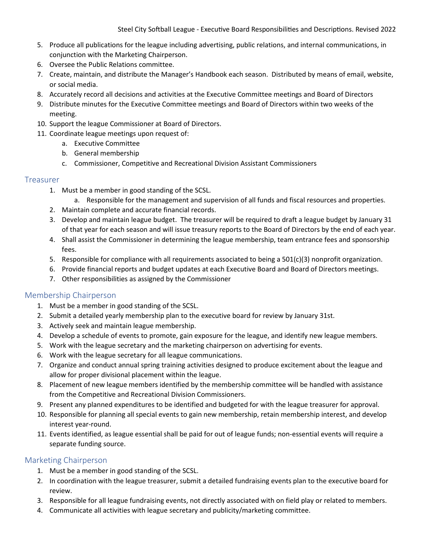- 5. Produce all publications for the league including advertising, public relations, and internal communications, in conjunction with the Marketing Chairperson.
- 6. Oversee the Public Relations committee.
- 7. Create, maintain, and distribute the Manager's Handbook each season. Distributed by means of email, website, or social media.
- 8. Accurately record all decisions and activities at the Executive Committee meetings and Board of Directors
- 9. Distribute minutes for the Executive Committee meetings and Board of Directors within two weeks of the meeting.
- 10. Support the league Commissioner at Board of Directors.
- 11. Coordinate league meetings upon request of:
	- a. Executive Committee
	- b. General membership
	- c. Commissioner, Competitive and Recreational Division Assistant Commissioners

#### <span id="page-2-0"></span>Treasurer

- 1. Must be a member in good standing of the SCSL.
	- a. Responsible for the management and supervision of all funds and fiscal resources and properties.
- 2. Maintain complete and accurate financial records.
- 3. Develop and maintain league budget. The treasurer will be required to draft a league budget by January 31 of that year for each season and will issue treasury reports to the Board of Directors by the end of each year.
- 4. Shall assist the Commissioner in determining the league membership, team entrance fees and sponsorship fees.
- 5. Responsible for compliance with all requirements associated to being a 501(c)(3) nonprofit organization.
- 6. Provide financial reports and budget updates at each Executive Board and Board of Directors meetings.
- 7. Other responsibilities as assigned by the Commissioner

#### <span id="page-2-1"></span>Membership Chairperson

- 1. Must be a member in good standing of the SCSL.
- 2. Submit a detailed yearly membership plan to the executive board for review by January 31st.
- 3. Actively seek and maintain league membership.
- 4. Develop a schedule of events to promote, gain exposure for the league, and identify new league members.
- 5. Work with the league secretary and the marketing chairperson on advertising for events.
- 6. Work with the league secretary for all league communications.
- 7. Organize and conduct annual spring training activities designed to produce excitement about the league and allow for proper divisional placement within the league.
- 8. Placement of new league members identified by the membership committee will be handled with assistance from the Competitive and Recreational Division Commissioners.
- 9. Present any planned expenditures to be identified and budgeted for with the league treasurer for approval.
- 10. Responsible for planning all special events to gain new membership, retain membership interest, and develop interest year-round.
- 11. Events identified, as league essential shall be paid for out of league funds; non-essential events will require a separate funding source.

#### <span id="page-2-2"></span>Marketing Chairperson

- 1. Must be a member in good standing of the SCSL.
- 2. In coordination with the league treasurer, submit a detailed fundraising events plan to the executive board for review.
- 3. Responsible for all league fundraising events, not directly associated with on field play or related to members.
- 4. Communicate all activities with league secretary and publicity/marketing committee.